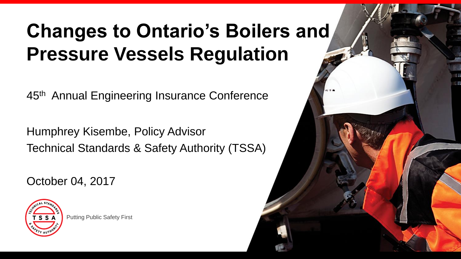## **Changes to Ontario's Boilers and Pressure Vessels Regulation**

45<sup>th</sup> Annual Engineering Insurance Conference

Humphrey Kisembe, Policy Advisor Technical Standards & Safety Authority (TSSA)

October 04, 2017



Putting Public Safety First

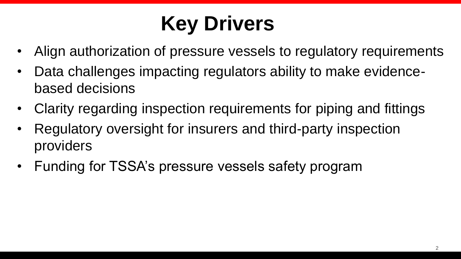# **Key Drivers**

- Align authorization of pressure vessels to regulatory requirements
- Data challenges impacting regulators ability to make evidencebased decisions
- Clarity regarding inspection requirements for piping and fittings
- Regulatory oversight for insurers and third-party inspection providers
- Funding for TSSA's pressure vessels safety program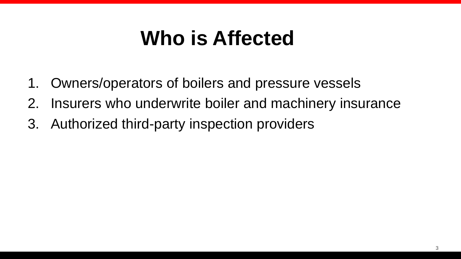## **Who is Affected**

- 1. Owners/operators of boilers and pressure vessels
- 2. Insurers who underwrite boiler and machinery insurance
- 3. Authorized third-party inspection providers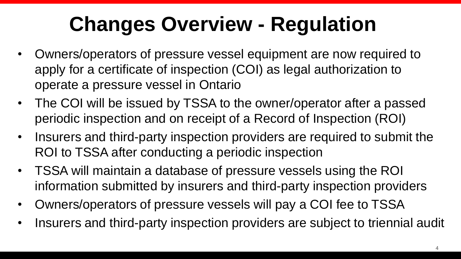# **Changes Overview - Regulation**

- Owners/operators of pressure vessel equipment are now required to apply for a certificate of inspection (COI) as legal authorization to operate a pressure vessel in Ontario
- The COI will be issued by TSSA to the owner/operator after a passed periodic inspection and on receipt of a Record of Inspection (ROI)
- Insurers and third-party inspection providers are required to submit the ROI to TSSA after conducting a periodic inspection
- TSSA will maintain a database of pressure vessels using the ROI information submitted by insurers and third-party inspection providers
- Owners/operators of pressure vessels will pay a COI fee to TSSA
- Insurers and third-party inspection providers are subject to triennial audit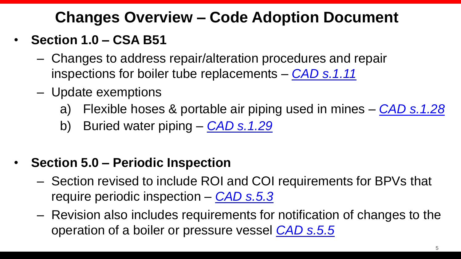### **Changes Overview – Code Adoption Document**

#### • **Section 1.0 – CSA B51**

- Changes to address repair/alteration procedures and repair inspections for boiler tube replacements – *[CAD s.1.11](https://www.tssa.org/en/boilers-pressure-vessels/resources/Documents/Legs--Regs/BPV-CAD-AMENDMENTS_JUNE-28_FINAL.PDF#page=7)*
- Update exemptions
	- a) Flexible hoses & portable air piping used in mines *[CAD s.1.28](https://www.tssa.org/en/boilers-pressure-vessels/resources/Documents/Legs--Regs/BPV-CAD-AMENDMENTS_JUNE-28_FINAL.PDF#page=11)*
	- b) Buried water piping *[CAD s.1.29](https://www.tssa.org/en/boilers-pressure-vessels/resources/Documents/Legs--Regs/BPV-CAD-AMENDMENTS_JUNE-28_FINAL.PDF#page=11)*

#### • **Section 5.0 – Periodic Inspection**

- Section revised to include ROI and COI requirements for BPVs that require periodic inspection – *[CAD s.5.3](https://www.tssa.org/en/boilers-pressure-vessels/resources/Documents/Legs--Regs/BPV-CAD-AMENDMENTS_JUNE-28_FINAL.PDF#page=23)*
- Revision also includes requirements for notification of changes to the operation of a boiler or pressure vessel *[CAD s.5.5](https://www.tssa.org/en/boilers-pressure-vessels/resources/Documents/Legs--Regs/BPV-CAD-AMENDMENTS_JUNE-28_FINAL.PDF#page=7https://www.tssa.org/en/boilers-pressure-vessels/resources/Documents/Legs--Regs/BPV-CAD-AMENDMENTS_JUNE-28_FINAL.PDF)*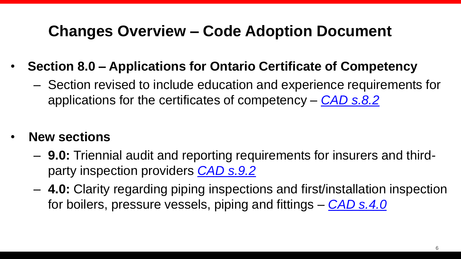#### **Changes Overview – Code Adoption Document**

- **Section 8.0 – Applications for Ontario Certificate of Competency**
	- Section revised to include education and experience requirements for applications for the certificates of competency – *[CAD s.8.2](https://www.tssa.org/en/boilers-pressure-vessels/resources/Documents/Legs--Regs/BPV-CAD-AMENDMENTS_JUNE-28_FINAL.PDF#page=26)*
- **New sections**
	- **9.0:** Triennial audit and reporting requirements for insurers and thirdparty inspection providers *[CAD s.9.2](https://www.tssa.org/en/boilers-pressure-vessels/resources/Documents/Legs--Regs/BPV-CAD-AMENDMENTS_JUNE-28_FINAL.PDF#page=27)*
	- **4.0:** Clarity regarding piping inspections and first/installation inspection for boilers, pressure vessels, piping and fittings – *[CAD s.4.0](https://www.tssa.org/en/boilers-pressure-vessels/resources/Documents/Legs--Regs/BPV-CAD-AMENDMENTS_JUNE-28_FINAL.PDF#page=21)*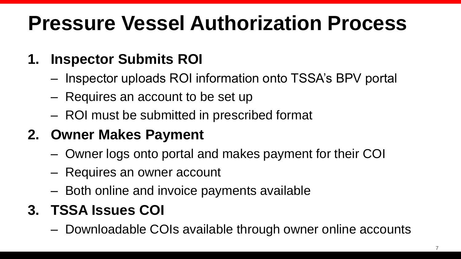# **Pressure Vessel Authorization Process**

### **1. Inspector Submits ROI**

- Inspector uploads ROI information onto TSSA's BPV portal
- Requires an account to be set up
- ROI must be submitted in prescribed format

### **2. Owner Makes Payment**

- Owner logs onto portal and makes payment for their COI
- Requires an owner account
- Both online and invoice payments available

### **3. TSSA Issues COI**

– Downloadable COIs available through owner online accounts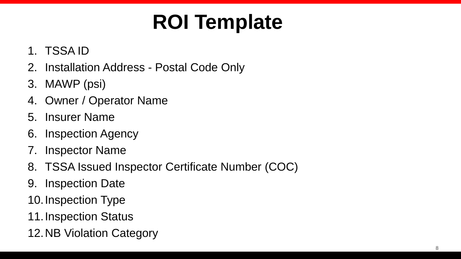# **ROI Template**

#### 1. TSSA ID

- 2. Installation Address Postal Code Only
- 3. MAWP (psi)
- 4. Owner / Operator Name
- 5. Insurer Name
- 6. Inspection Agency
- 7. Inspector Name
- 8. TSSA Issued Inspector Certificate Number (COC)
- 9. Inspection Date
- 10.Inspection Type
- 11.Inspection Status
- 12.NB Violation Category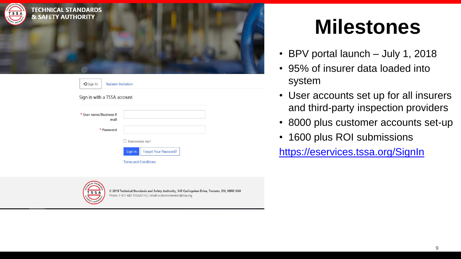

| → Sign In                      | <b>Redeem Invitation</b> |                                         |
|--------------------------------|--------------------------|-----------------------------------------|
| Sign in with a TSSA account    |                          |                                         |
| * User name/Business E<br>mail |                          |                                         |
|                                | * Password               |                                         |
|                                |                          | $\Box$ Remember me?                     |
|                                |                          | Sign In<br><b>Forgot Your Password?</b> |
|                                |                          | <b>Terms and Conditions</b>             |



© 2018 Technical Standards and Safety Authority, 345 Carlingview Drive, Toronto, ON, M9W 6N9 Phone: 1-877-682-TSSA(8772) | Email: customerservices@tssa.org

### **Milestones**

- BPV portal launch July 1, 2018
- 95% of insurer data loaded into system
- User accounts set up for all insurers and third-party inspection providers
- 8000 plus customer accounts set-up
- 1600 plus ROI submissions

<https://eservices.tssa.org/SignIn>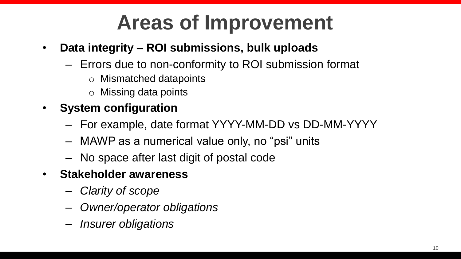# **Areas of Improvement**

- **Data integrity – ROI submissions, bulk uploads**
	- Errors due to non-conformity to ROI submission format
		- o Mismatched datapoints
		- o Missing data points
- **System configuration**
	- For example, date format YYYY-MM-DD vs DD-MM-YYYY
	- MAWP as a numerical value only, no "psi" units
	- No space after last digit of postal code
- **Stakeholder awareness**
	- *Clarity of scope*
	- *Owner/operator obligations*
	- *Insurer obligations*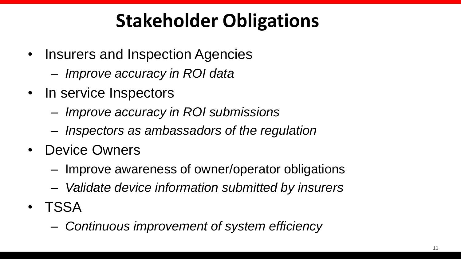### **Stakeholder Obligations**

- Insurers and Inspection Agencies
	- *Improve accuracy in ROI data*
- In service Inspectors
	- *Improve accuracy in ROI submissions*
	- *Inspectors as ambassadors of the regulation*
- Device Owners
	- Improve awareness of owner/operator obligations
	- *Validate device information submitted by insurers*
- TSSA
	- *Continuous improvement of system efficiency*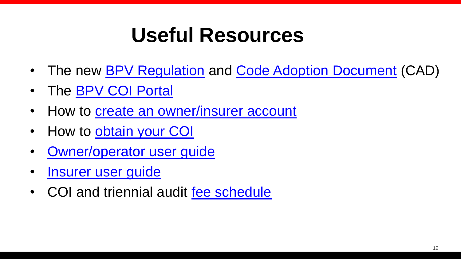# **Useful Resources**

- The new **[BPV Regulation](https://www.ontario.ca/laws/regulation/010220)** and [Code Adoption Document](https://www.tssa.org/en/boilers-pressure-vessels/resources/Documents/Legs--Regs/BPV-CAD-AMENDMENTS_JUNE-28_FINAL.PDF) (CAD)
- The **BPV COI Portal**
- How to [create an owner/insurer account](https://www.tssa.org/en/boilers-pressure-vessels/bpv-certificate-of-inspection.aspx)
- How to [obtain your COI](https://www.tssa.org/en/boilers-pressure-vessels/resources/Documents/BPVCOI/BPV-COI---How-to-Get.pdf)
- [Owner/operator user guide](https://www.tssa.org/en/boilers-pressure-vessels/resources/Documents/BPVCOI/BPV-Portal---Owner-Training-Guide.pdf)
- Insurer user quide
- COI and triennial audit [fee schedule](https://www.tssa.org/Modules/News/BlogComments.aspx?feedId=4ca86901-c2ab-453b-b95b-123f516c0c9f&blogId=4334a0ca-e9e9-4b22-b9e3-8252c9add236)